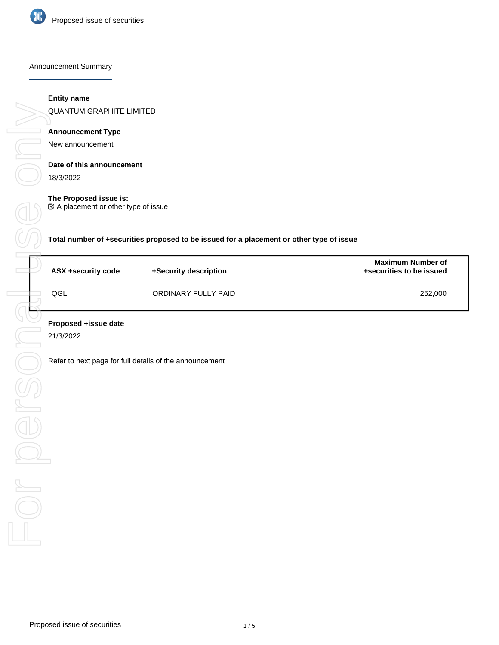

Announcement Summary

# **Entity name**

QUANTUM GRAPHITE LIMITED

# **Announcement Type**

New announcement

# **Date of this announcement**

18/3/2022

# **The Proposed issue is:**

A placement or other type of issue

**Total number of +securities proposed to be issued for a placement or other type of issue**

| ASX +security code | +Security description | <b>Maximum Number of</b><br>+securities to be issued |
|--------------------|-----------------------|------------------------------------------------------|
| QGL                | ORDINARY FULLY PAID   | 252,000                                              |

21/3/2022

Refer to next page for full details of the announcement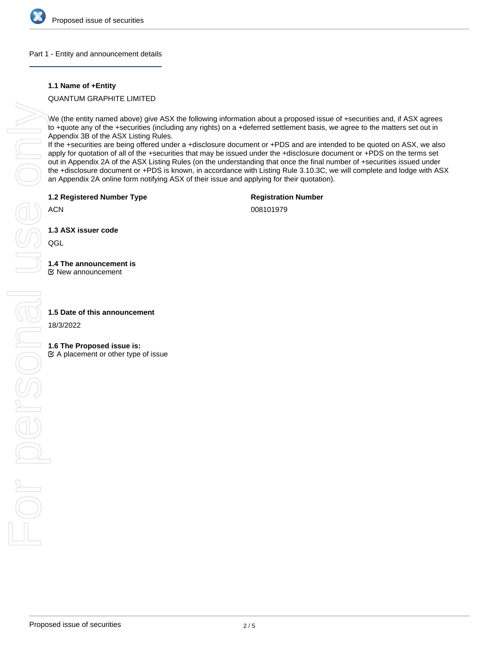

## Part 1 - Entity and announcement details

# **1.1 Name of +Entity**

# QUANTUM GRAPHITE LIMITED

We (the entity named above) give ASX the following information about a proposed issue of +securities and, if ASX agrees to +quote any of the +securities (including any rights) on a +deferred settlement basis, we agree to the matters set out in Appendix 3B of the ASX Listing Rules.

If the +securities are being offered under a +disclosure document or +PDS and are intended to be quoted on ASX, we also apply for quotation of all of the +securities that may be issued under the +disclosure document or +PDS on the terms set out in Appendix 2A of the ASX Listing Rules (on the understanding that once the final number of +securities issued under the +disclosure document or +PDS is known, in accordance with Listing Rule 3.10.3C, we will complete and lodge with ASX an Appendix 2A online form notifying ASX of their issue and applying for their quotation).

**1.2 Registered Number Type**

**Registration Number**

ACN

008101979

**1.3 ASX issuer code**

QGL

# **1.4 The announcement is**

New announcement

18/3/2022

# **1.6 The Proposed issue is:**

 $\mathfrak{C}$  A placement or other type of issue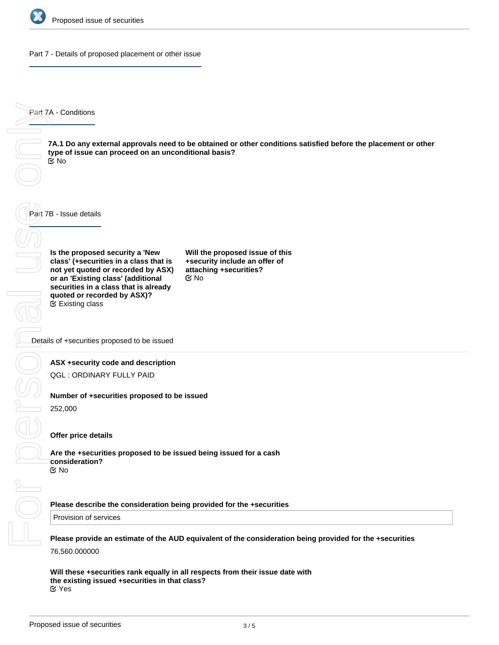

Part 7 - Details of proposed placement or other issue

Part 7A - Conditions

**7A.1 Do any external approvals need to be obtained or other conditions satisfied before the placement or other type of issue can proceed on an unconditional basis?** No

Part 7B - Issue details

**Is the proposed security a 'New class' (+securities in a class that is not yet quoted or recorded by ASX) or an 'Existing class' (additional securities in a class that is already quoted or recorded by ASX)?** Existing class

**Will the proposed issue of this +security include an offer of attaching +securities?** No

Details of +securities proposed to be issued

### **ASX +security code and description**

QGL : ORDINARY FULLY PAID

### **Number of +securities proposed to be issued**

252,000

### **Offer price details**

**Are the +securities proposed to be issued being issued for a cash consideration?** No

### **Please describe the consideration being provided for the +securities**

Provision of services

**Please provide an estimate of the AUD equivalent of the consideration being provided for the +securities** 76,560.000000

**Will these +securities rank equally in all respects from their issue date with the existing issued +securities in that class?** Yes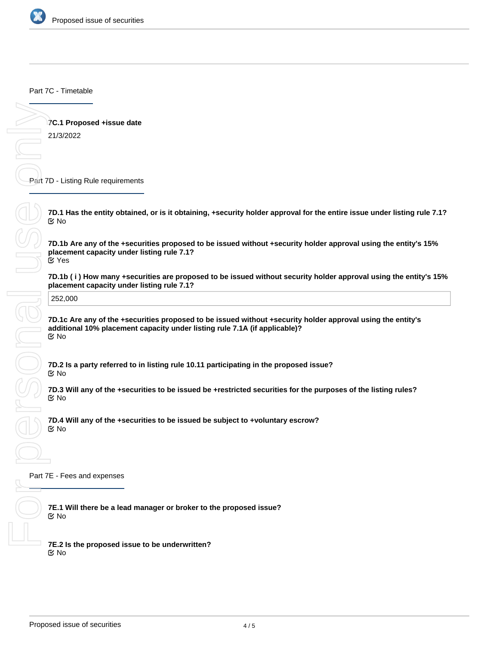

Part 7C - Timetable

**7C.1 Proposed +issue date**

21/3/2022

Part 7D - Listing Rule requirements

**7D.1 Has the entity obtained, or is it obtaining, +security holder approval for the entire issue under listing rule 7.1?** No

**7D.1b Are any of the +securities proposed to be issued without +security holder approval using the entity's 15% placement capacity under listing rule 7.1?** Yes

**placement capacity under listing rule 7.1?**

252,000

**7D.1b (i) How many +securities are proposed to be issued without security holder approval using the entity's 15%**<br>placement capacity under listing rule 7.1?<br>**252,000**<br>**7D.1c Are any of the +securities proposed to be issue 7D.1c Are any of the +securities proposed to be issued without +security holder approval using the entity's additional 10% placement capacity under listing rule 7.1A (if applicable)?** No

**7D.2 Is a party referred to in listing rule 10.11 participating in the proposed issue?** No

**7D.3 Will any of the +securities to be issued be +restricted securities for the purposes of the listing rules?** No

**7D.4 Will any of the +securities to be issued be subject to +voluntary escrow?** No

Part 7E - Fees and expenses

**7E.1 Will there be a lead manager or broker to the proposed issue?** No

**7E.2 Is the proposed issue to be underwritten?** No